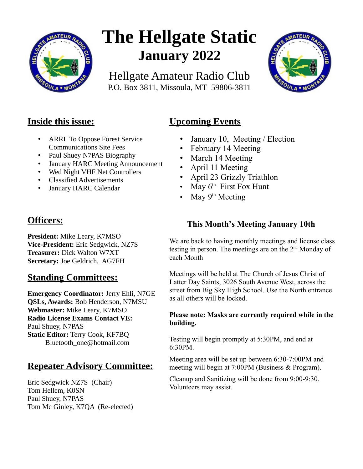

# **The Hellgate Static January 2022**

Hellgate Amateur Radio Club P.O. Box 3811, Missoula, MT 59806-3811



## **Inside this issue:**

- ARRL To Oppose Forest Service Communications Site Fees
- Paul Shuey N7PAS Biography
- January HARC Meeting Announcement
- Wed Night VHF Net Controllers
- Classified Advertisements
- January HARC Calendar

# **Officers:**

**President:** Mike Leary, K7MSO **Vice-President:** Eric Sedgwick, NZ7S **Treasurer:** Dick Walton W7XT **Secretary:** Joe Geldrich, AG7FH

# **Standing Committees:**

**Emergency Coordinator:** Jerry Ehli, N7GE **QSLs, Awards:** Bob Henderson, N7MSU **Webmaster:** Mike Leary, K7MSO **Radio License Exams Contact VE:** Paul Shuey, N7PAS **Static Editor:** Terry Cook, KF7BQ Bluetooth\_one@hotmail.com

# **Repeater Advisory Committee:**

Eric Sedgwick NZ7S (Chair) Tom Hellem, K0SN Paul Shuey, N7PAS Tom Mc Ginley, K7QA (Re-elected)

# **Upcoming Events**

- January 10, Meeting / Election
- February 14 Meeting
- March 14 Meeting
- April 11 Meeting
- April 23 Grizzly Triathlon
- May  $6<sup>th</sup>$  First Fox Hunt
- May 9<sup>th</sup> Meeting

## **This Month's Meeting January 10th**

We are back to having monthly meetings and license class testing in person. The meetings are on the 2nd Monday of each Month

Meetings will be held at The Church of Jesus Christ of Latter Day Saints, 3026 South Avenue West, across the street from Big Sky High School. Use the North entrance as all others will be locked.

#### **Please note: Masks are currently required while in the building.**

Testing will begin promptly at 5:30PM, and end at 6:30PM.

Meeting area will be set up between 6:30-7:00PM and meeting will begin at 7:00PM (Business & Program).

Cleanup and Sanitizing will be done from 9:00-9:30. Volunteers may assist.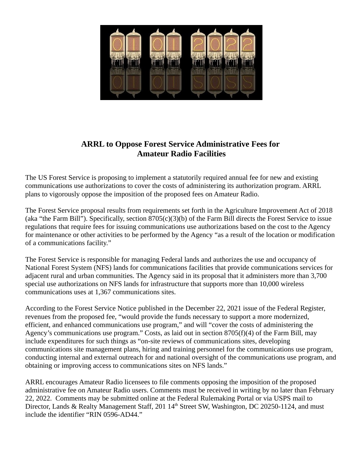

## **ARRL to Oppose Forest Service Administrative Fees for Amateur Radio Facilities**

The US Forest Service is proposing to implement a statutorily required annual fee for new and existing communications use authorizations to cover the costs of administering its authorization program. ARRL plans to vigorously oppose the imposition of the proposed fees on Amateur Radio.

The Forest Service proposal results from requirements set forth in the Agriculture Improvement Act of 2018 (aka "the Farm Bill"). Specifically, section 8705(c)(3)(b) of the Farm Bill directs the Forest Service to issue regulations that require fees for issuing communications use authorizations based on the cost to the Agency for maintenance or other activities to be performed by the Agency "as a result of the location or modification of a communications facility."

The Forest Service is responsible for managing Federal lands and authorizes the use and occupancy of National Forest System (NFS) lands for communications facilities that provide communications services for adjacent rural and urban communities. The Agency said in its proposal that it administers more than 3,700 special use authorizations on NFS lands for infrastructure that supports more than 10,000 wireless communications uses at 1,367 communications sites.

According to the Forest Service Notice published in the December 22, 2021 issue of the Federal Register, revenues from the proposed fee, "would provide the funds necessary to support a more modernized, efficient, and enhanced communications use program," and will "cover the costs of administering the Agency's communications use program." Costs, as laid out in section 8705(f)(4) of the Farm Bill, may include expenditures for such things as "on-site reviews of communications sites, developing communications site management plans, hiring and training personnel for the communications use program, conducting internal and external outreach for and national oversight of the communications use program, and obtaining or improving access to communications sites on NFS lands."

ARRL encourages Amateur Radio licensees to file comments opposing the imposition of the proposed administrative fee on Amateur Radio users. Comments must be received in writing by no later than February 22, 2022. Comments may be submitted online at the Federal Rulemaking Portal or via USPS mail to Director, Lands & Realty Management Staff, 201 14<sup>th</sup> Street SW, Washington, DC 20250-1124, and must include the identifier "RIN 0596-AD44."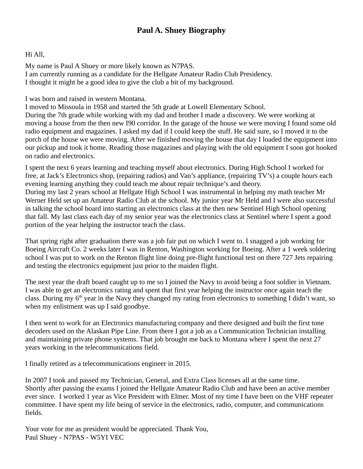## **Paul A. Shuey Biography**

#### Hi All,

My name is Paul A Shuey or more likely known as N7PAS. I am currently running as a candidate for the Hellgate Amateur Radio Club Presidency. I thought it might be a good idea to give the club a bit of my background.

I was born and raised in western Montana.

I moved to Missoula in 1958 and started the 5th grade at Lowell Elementary School. During the 7th grade while working with my dad and brother I made a discovery. We were working at moving a house from the then new I90 corridor. In the garage of the house we were moving I found some old radio equipment and magazines. I asked my dad if I could keep the stuff. He said sure, so I moved it to the porch of the house we were moving. After we finished moving the house that day I loaded the equipment into our pickup and took it home. Reading those magazines and playing with the old equipment I soon got hooked on radio and electronics.

I spent the next 6 years learning and teaching myself about electronics. During High School I worked for free, at Jack's Electronics shop, (repairing radios) and Van's appliance, (repairing TV's) a couple hours each evening learning anything they could teach me about repair technique's and theory. During my last 2 years school at Hellgate High School I was instrumental in helping my math teacher Mr Werner Held set up an Amateur Radio Club at the school. My junior year Mr Held and I were also successful in talking the school board into starting an electronics class at the then new Sentinel High School opening that fall. My last class each day of my senior year was the electronics class at Sentinel where I spent a good portion of the year helping the instructor teach the class.

That spring right after graduation there was a job fair put on which I went to. I snagged a job working for Boeing Aircraft Co. 2 weeks later I was in Renton, Washington working for Boeing. After a 1 week soldering school I was put to work on the Renton flight line doing pre-flight functional test on there 727 Jets repairing and testing the electronics equipment just prior to the maiden flight.

The next year the draft board caught up to me so I joined the Navy to avoid being a foot soldier in Vietnam. I was able to get an electronics rating and spent that first year helping the instructor once again teach the class. During my  $6<sup>th</sup>$  year in the Navy they changed my rating from electronics to something I didn't want, so when my enlistment was up I said goodbye.

I then went to work for an Electronics manufacturing company and there designed and built the first tone decoders used on the Alaskan Pipe Line. From there I got a job as a Communication Technician installing and maintaining private phone systems. That job brought me back to Montana where I spent the next 27 years working in the telecommunications field.

I finally retired as a telecommunications engineer in 2015.

In 2007 I took and passed my Technician, General, and Extra Class licenses all at the same time. Shortly after passing the exams I joined the Hellgate Amateur Radio Club and have been an active member ever since. I worked 1 year as Vice President with Elmer. Most of my time I have been on the VHF repeater committee. I have spent my life being of service in the electronics, radio, computer, and communications fields.

Your vote for me as president would be appreciated. Thank You, Paul Shuey - N7PAS - W5YI VEC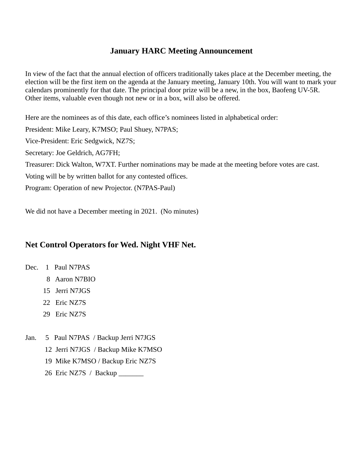#### **January HARC Meeting Announcement**

In view of the fact that the annual election of officers traditionally takes place at the December meeting, the election will be the first item on the agenda at the January meeting, January 10th. You will want to mark your calendars prominently for that date. The principal door prize will be a new, in the box, Baofeng UV-5R. Other items, valuable even though not new or in a box, will also be offered.

Here are the nominees as of this date, each office's nominees listed in alphabetical order:

President: Mike Leary, K7MSO; Paul Shuey, N7PAS;

Vice-President: Eric Sedgwick, NZ7S;

Secretary: Joe Geldrich, AG7FH;

Treasurer: Dick Walton, W7XT. Further nominations may be made at the meeting before votes are cast.

Voting will be by written ballot for any contested offices.

Program: Operation of new Projector. (N7PAS-Paul)

We did not have a December meeting in 2021. (No minutes)

## **Net Control Operators for Wed. Night VHF Net.**

- Dec. 1 Paul N7PAS
	- 8 Aaron N7BIO
	- 15 Jerri N7JGS
	- 22 Eric NZ7S
	- 29 Eric NZ7S
- Jan. 5 Paul N7PAS / Backup Jerri N7JGS
	- 12 Jerri N7JGS / Backup Mike K7MSO
	- 19 Mike K7MSO / Backup Eric NZ7S
	- 26 Eric NZ7S / Backup \_\_\_\_\_\_\_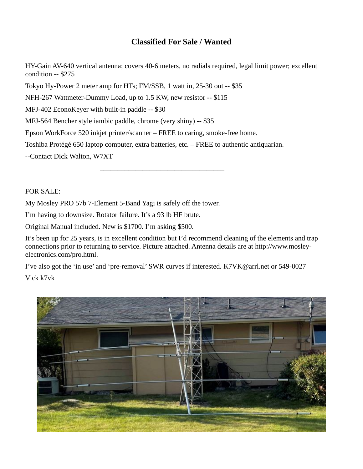## **Classified For Sale / Wanted**

HY-Gain AV-640 vertical antenna; covers 40-6 meters, no radials required, legal limit power; excellent condition -- \$275

Tokyo Hy-Power 2 meter amp for HTs; FM/SSB, 1 watt in, 25-30 out -- \$35

NFH-267 Wattmeter-Dummy Load, up to 1.5 KW, new resistor -- \$115

MFJ-402 EconoKeyer with built-in paddle -- \$30

MFJ-564 Bencher style iambic paddle, chrome (very shiny) -- \$35

Epson WorkForce 520 inkjet printer/scanner – FREE to caring, smoke-free home.

Toshiba Protégé 650 laptop computer, extra batteries, etc. – FREE to authentic antiquarian.

--Contact Dick Walton, W7XT

FOR SALE:

My Mosley PRO 57b 7-Element 5-Band Yagi is safely off the tower.

 $\frac{1}{2}$  ,  $\frac{1}{2}$  ,  $\frac{1}{2}$  ,  $\frac{1}{2}$  ,  $\frac{1}{2}$  ,  $\frac{1}{2}$  ,  $\frac{1}{2}$  ,  $\frac{1}{2}$  ,  $\frac{1}{2}$  ,  $\frac{1}{2}$  ,  $\frac{1}{2}$  ,  $\frac{1}{2}$  ,  $\frac{1}{2}$  ,  $\frac{1}{2}$  ,  $\frac{1}{2}$  ,  $\frac{1}{2}$  ,  $\frac{1}{2}$  ,  $\frac{1}{2}$  ,  $\frac{1$ 

I'm having to downsize. Rotator failure. It's a 93 lb HF brute.

Original Manual included. New is \$1700. I'm asking \$500.

It's been up for 25 years, is in excellent condition but I'd recommend cleaning of the elements and trap connections prior to returning to service. Picture attached. Antenna details are at http://www.mosleyelectronics.com/pro.html.

I've also got the 'in use' and 'pre-removal' SWR curves if interested. K7VK@arrl.net or 549-0027 Vick k7vk